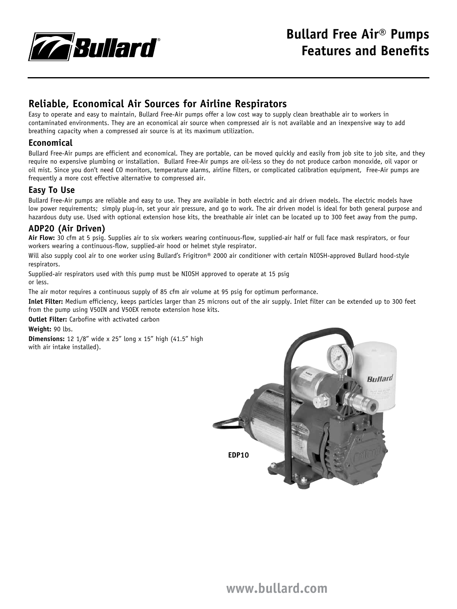

## **Reliable, Economical Air Sources for Airline Respirators**

Easy to operate and easy to maintain, Bullard Free-Air pumps offer a low cost way to supply clean breathable air to workers in contaminated environments. They are an economical air source when compressed air is not available and an inexpensive way to add breathing capacity when a compressed air source is at its maximum utilization.

#### **Economical**

Bullard Free-Air pumps are efficient and economical. They are portable, can be moved quickly and easily from job site to job site, and they require no expensive plumbing or installation. Bullard Free-Air pumps are oil-less so they do not produce carbon monoxide, oil vapor or oil mist. Since you don't need CO monitors, temperature alarms, airline filters, or complicated calibration equipment, Free-Air pumps are frequently a more cost effective alternative to compressed air.

#### **Easy To Use**

Bullard Free-Air pumps are reliable and easy to use. They are available in both electric and air driven models. The electric models have low power requirements; simply plug-in, set your air pressure, and go to work. The air driven model is ideal for both general purpose and hazardous duty use. Used with optional extension hose kits, the breathable air inlet can be located up to 300 feet away from the pump.

#### **ADP20 (Air Driven)**

**Air Flow:** 30 cfm at 5 psig. Supplies air to six workers wearing continuous-flow, supplied-air half or full face mask respirators, or four workers wearing a continuous-flow, supplied-air hood or helmet style respirator.

Will also supply cool air to one worker using Bullard's Frigitron® 2000 air conditioner with certain NIOSH-approved Bullard hood-style respirators.

Supplied-air respirators used with this pump must be NIOSH approved to operate at 15 psig or less.

The air motor requires a continuous supply of 85 cfm air volume at 95 psig for optimum performance.

**Inlet Filter:** Medium efficiency, keeps particles larger than 25 microns out of the air supply. Inlet filter can be extended up to 300 feet from the pump using V50IN and V50EX remote extension hose kits.

**Outlet Filter:** Carbofine with activated carbon

**Weight:** 90 lbs.

**Dimensions:** 12 1/8" wide x 25" long x 15" high (41.5" high with air intake installed).

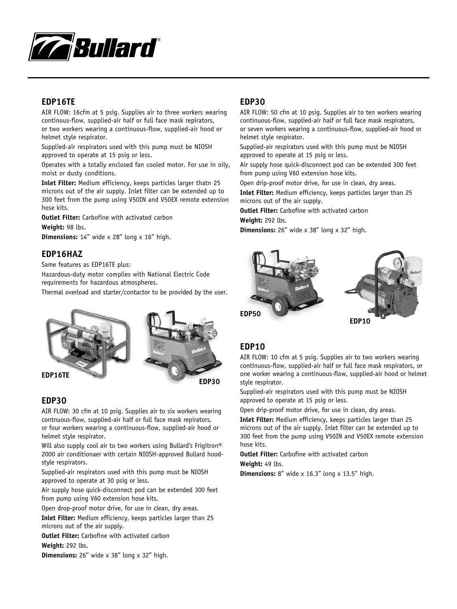

#### **EDP16TE**

AIR FLOW: 16cfm at 5 psig. Supplies air to three workers wearing continous-flow, supplied-air half or full face mask repirators, or two workers wearing a continuous-flow, supplied-air hood or helmet style respirator.

Supplied-air respirators used with this pump must be NIOSH approved to operate at 15 psig or less.

Operates with a totally enclosed fan cooled motor. For use in oily, moist or dusty conditions.

**Inlet Filter:** Medium efficiency, keeps particles larger thatn 25 microns out of the air supply. Inlet filter can be extended up to 300 feet from the pump using V50IN and V50EX remote extension hose kits.

**Outlet Filter:** Carbofine with activated carbon

**Weight:** 98 lbs.

**Dimensions:** 14" wide x 28" long x 16" high.

#### **EDP16HAZ**

Same features as EDP16TE plus:

Hazardous-duty motor complies with National Electric Code requirements for hazardous atmospheres.

Thermal overload and starter/contactor to be provided by the user.



#### **EDP30**

AIR FLOW: 30 cfm at 10 psig. Supplies air to six workers wearing contnuous-flow, supplied-air half or full face mask repirators, or four workers wearing a continuous-flow, supplied-air hood or helmet style respirator.

Will also supply cool air to two workers using Bullard's Frigitron<sup>®</sup> 2000 air conditionaer with certain NIOSH-approved Bullard hoodstyle respirators.

Supplied-air respirators used with this pump must be NIOSH approved to operate at 30 psig or less.

Air supply hose quick-disconnect pod can be extended 300 feet from pump using V60 extension hose kits.

Open drop-proof motor drive, for use in clean, dry areas.

**Inlet Filter:** Medium efficiency, keeps particles larger than 25 microns out of the air supply.

**Outlet Filter:** Carbofine with activated carbon

**Weight:** 292 lbs.

**Dimensions:** 26" wide x 38" long x 32" high.

#### **EDP30**

AIR FLOW: 50 cfm at 10 psig. Supplies air to ten workers wearing continuous-flow, supplied-air half or full face mask respirators, or seven workers wearing a continuous-flow, supplied-air hood or helmet style respirator.

Supplied-air respirators used with this pump must be NIOSH approved to operate at 15 psig or less.

Air supply hose quick-disconnect pod can be extended 300 feet from pump using V60 extension hose kits.

Open drip-proof motor drive, for use in clean, dry areas.

**Inlet Filter:** Medium efficiency, keeps particles larger than 25 microns out of the air supply.

**Outlet Filter:** Carbofine with activated carbon

**Weight:** 292 lbs.

**Dimensions:** 26" wide x 38" long x 32" high.



#### **EDP10**

AIR FLOW: 10 cfm at 5 psig. Supplies air to two workers wearing continuous-flow, supplied-air half or full face mask respirators, or one worker wearing a continuous-flow, supplied-air hood or helmet style respirator.

Supplied-air respirators used with this pump must be NIOSH approved to operate at 15 psig or less.

Open drip-proof motor drive, for use in clean, dry areas.

**Inlet Filter:** Medium efficiency, keeps particles larger than 25 microns out of the air supply. Inlet filter can be extended up to 300 feet from the pump using V50IN and V50EX remote extension hose kits.

**Outlet Filter:** Carbofine with activated carbon **Weight:** 49 lbs.

**Dimensions:** 8" wide x 16.3" long x 13.5" high.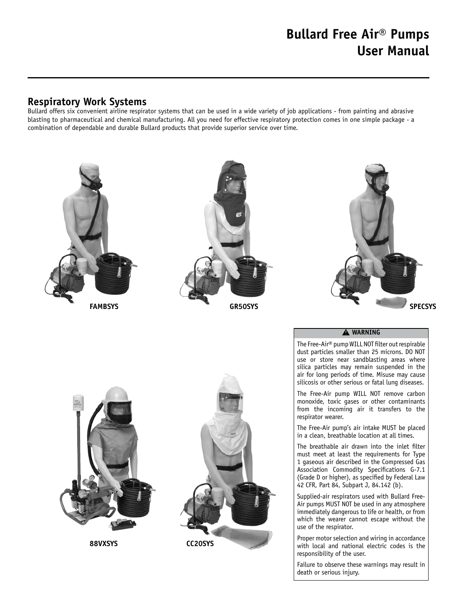# **Bullard Free Air® Pumps User Manual**

### **Respiratory Work Systems**

Bullard offers six convenient airline respirator systems that can be used in a wide variety of job applications - from painting and abrasive blasting to pharmaceutical and chemical manufacturing. All you need for effective respiratory protection comes in one simple package - a combination of dependable and durable Bullard products that provide superior service over time.